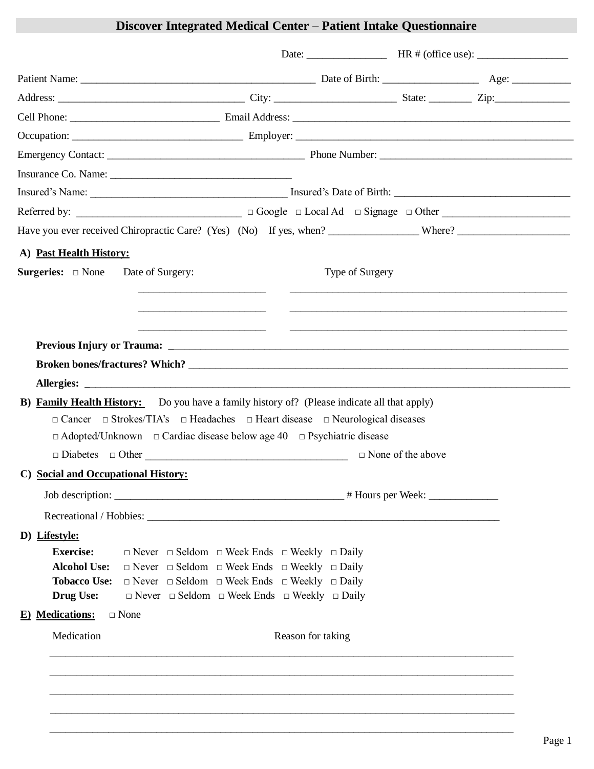## **Discover Integrated Medical Center – Patient Intake Questionnaire**

| A) Past Health History:                                                                            |                                                                                                       |                   |                          |  |
|----------------------------------------------------------------------------------------------------|-------------------------------------------------------------------------------------------------------|-------------------|--------------------------|--|
| <b>Surgeries:</b> $\Box$ None Date of Surgery:                                                     |                                                                                                       | Type of Surgery   |                          |  |
|                                                                                                    |                                                                                                       |                   |                          |  |
|                                                                                                    |                                                                                                       |                   |                          |  |
|                                                                                                    |                                                                                                       |                   |                          |  |
|                                                                                                    |                                                                                                       |                   |                          |  |
|                                                                                                    |                                                                                                       |                   |                          |  |
| <b>B)</b> Family Health History: Do you have a family history of? (Please indicate all that apply) |                                                                                                       |                   |                          |  |
|                                                                                                    | $\Box$ Cancer $\Box$ Strokes/TIA's $\Box$ Headaches $\Box$ Heart disease $\Box$ Neurological diseases |                   |                          |  |
|                                                                                                    |                                                                                                       |                   |                          |  |
| $\Box$ Adopted/Unknown $\Box$ Cardiac disease below age 40 $\Box$ Psychiatric disease              |                                                                                                       |                   |                          |  |
|                                                                                                    | $\Box$ Diabetes $\Box$ Other                                                                          |                   | $\Box$ None of the above |  |
| C) Social and Occupational History:                                                                |                                                                                                       |                   |                          |  |
|                                                                                                    |                                                                                                       |                   |                          |  |
|                                                                                                    |                                                                                                       |                   |                          |  |
| D) Lifestyle:                                                                                      |                                                                                                       |                   |                          |  |
| <b>Exercise:</b>                                                                                   | $\Box$ Never $\Box$ Seldom $\Box$ Week Ends $\Box$ Weekly $\Box$ Daily                                |                   |                          |  |
| <b>Alcohol Use:</b>                                                                                | $\Box$ Never $\Box$ Seldom $\Box$ Week Ends $\Box$ Weekly $\Box$ Daily                                |                   |                          |  |
|                                                                                                    | <b>Tobacco Use:</b> $\Box$ Never $\Box$ Seldom $\Box$ Week Ends $\Box$ Weekly $\Box$ Daily            |                   |                          |  |
| <b>Drug Use:</b>                                                                                   | $\Box$ Never $\Box$ Seldom $\Box$ Week Ends $\Box$ Weekly $\Box$ Daily                                |                   |                          |  |
| <b>E</b> ) <b>Medications:</b> $\Box$ None<br>Medication                                           |                                                                                                       | Reason for taking |                          |  |

\_\_\_\_\_\_\_\_\_\_\_\_\_\_\_\_\_\_\_\_\_\_\_\_\_\_\_\_\_\_\_\_\_\_\_\_\_\_\_\_\_\_\_\_\_\_\_\_\_\_\_\_\_\_\_\_\_\_\_\_\_\_\_\_\_\_\_\_\_\_\_\_\_\_\_\_\_\_\_\_\_\_\_\_\_\_\_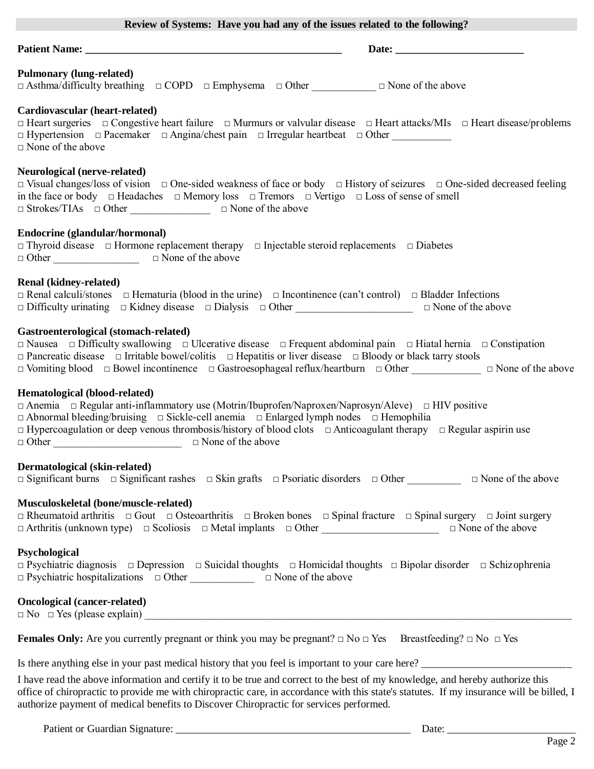| Review of Systems: Have you had any of the issues related to the following?                                                                                                                                                                                                                                                                                                                                                                                      |  |  |  |
|------------------------------------------------------------------------------------------------------------------------------------------------------------------------------------------------------------------------------------------------------------------------------------------------------------------------------------------------------------------------------------------------------------------------------------------------------------------|--|--|--|
|                                                                                                                                                                                                                                                                                                                                                                                                                                                                  |  |  |  |
| <b>Pulmonary (lung-related)</b><br>$\Box$ Asthma/difficulty breathing $\Box$ COPD $\Box$ Emphysema $\Box$ Other $\Box$ $\Box$ None of the above                                                                                                                                                                                                                                                                                                                  |  |  |  |
| Cardiovascular (heart-related)<br>□ Heart surgeries □ Congestive heart failure □ Murmurs or valvular disease □ Heart attacks/MIs □ Heart disease/problems<br>□ Hypertension □ Pacemaker □ Angina/chest pain □ Irregular heartbeat □ Other<br>$\Box$ None of the above                                                                                                                                                                                            |  |  |  |
| <b>Neurological (nerve-related)</b><br>$\Box$ Visual changes/loss of vision $\Box$ One-sided weakness of face or body $\Box$ History of seizures $\Box$ One-sided decreased feeling<br>in the face or body $\Box$ Headaches $\Box$ Memory loss $\Box$ Tremors $\Box$ Vertigo $\Box$ Loss of sense of smell<br>$\Box$ Strokes/TIAs $\Box$ Other $\Box$ $\Box$ None of the above                                                                                   |  |  |  |
| Endocrine (glandular/hormonal)<br>$\Box$ Thyroid disease $\Box$ Hormone replacement therapy $\Box$ Injectable steroid replacements $\Box$ Diabetes<br>$\Box$ Other $\Box$ $\Box$ None of the above                                                                                                                                                                                                                                                               |  |  |  |
| <b>Renal (kidney-related)</b><br>$\Box$ Renal calculi/stones $\Box$ Hematuria (blood in the urine) $\Box$ Incontinence (can't control) $\Box$ Bladder Infections<br>$\Box$ Difficulty urinating $\Box$ Kidney disease $\Box$ Dialysis $\Box$ Other $\Box$ $\Box$ None of the above                                                                                                                                                                               |  |  |  |
| Gastroenterological (stomach-related)<br>$\Box$ Nausea $\Box$ Difficulty swallowing $\Box$ Ulcerative disease $\Box$ Frequent abdominal pain $\Box$ Hiatal hernia $\Box$ Constipation<br>$\Box$ Pancreatic disease $\Box$ Irritable bowel/colitis $\Box$ Hepatitis or liver disease $\Box$ Bloody or black tarry stools<br>$\Box$ Vomiting blood $\Box$ Bowel incontinence $\Box$ Gastroesophageal reflux/heartburn $\Box$ Other $\Box$ $\Box$ None of the above |  |  |  |
| Hematological (blood-related)<br>$\Box$ Anemia $\Box$ Regular anti-inflammatory use (Motrin/Ibuprofen/Naproxen/Naprosyn/Aleve) $\Box$ HIV positive<br>$\Box$ Abnormal bleeding/bruising $\Box$ Sickle-cell anemia $\Box$ Enlarged lymph nodes $\Box$ Hemophilia<br>$\Box$ Hypercoagulation or deep venous thrombosis/history of blood clots $\Box$ Anticoagulant therapy $\Box$ Regular aspirin use<br>$\Box$ Other $\Box$ $\Box$ None of the above              |  |  |  |
| Dermatological (skin-related)<br>$\Box$ Significant burns $\Box$ Significant rashes $\Box$ Skin grafts $\Box$ Psoriatic disorders $\Box$ Other $\Box$ $\Box$ None of the above                                                                                                                                                                                                                                                                                   |  |  |  |
| Musculoskeletal (bone/muscle-related)<br>$\Box$ Rheumatoid arthritis $\Box$ Gout $\Box$ Osteoarthritis $\Box$ Broken bones $\Box$ Spinal fracture $\Box$ Spinal surgery $\Box$ Joint surgery<br>$\Box$ Arthritis (unknown type) $\Box$ Scoliosis $\Box$ Metal implants $\Box$ Other<br>$\Box$ None of the above                                                                                                                                                  |  |  |  |
| Psychological<br>$\Box$ Psychiatric diagnosis $\Box$ Depression $\Box$ Suicidal thoughts $\Box$ Homicidal thoughts $\Box$ Bipolar disorder $\Box$ Schizophrenia<br>$\Box$ Psychiatric hospitalizations $\Box$ Other $\Box$ $\Box$ None of the above                                                                                                                                                                                                              |  |  |  |
| <b>Oncological (cancer-related)</b>                                                                                                                                                                                                                                                                                                                                                                                                                              |  |  |  |
| <b>Females Only:</b> Are you currently pregnant or think you may be pregnant? $\Box$ No $\Box$ Yes Breastfeeding? $\Box$ No $\Box$ Yes                                                                                                                                                                                                                                                                                                                           |  |  |  |
| Is there anything else in your past medical history that you feel is important to your care here?                                                                                                                                                                                                                                                                                                                                                                |  |  |  |
| I have read the above information and certify it to be true and correct to the best of my knowledge, and hereby authorize this<br>office of chiropractic to provide me with chiropractic care, in accordance with this state's statutes. If my insurance will be billed, I<br>authorize payment of medical benefits to Discover Chiropractic for services performed.                                                                                             |  |  |  |

Patient or Guardian Signature: \_\_\_\_\_\_\_\_\_\_\_\_\_\_\_\_\_\_\_\_\_\_\_\_\_\_\_\_\_\_\_\_\_\_\_\_\_\_\_\_\_\_\_\_ Date: \_\_\_\_\_\_\_\_\_\_\_\_\_\_\_\_\_\_\_\_\_\_\_\_